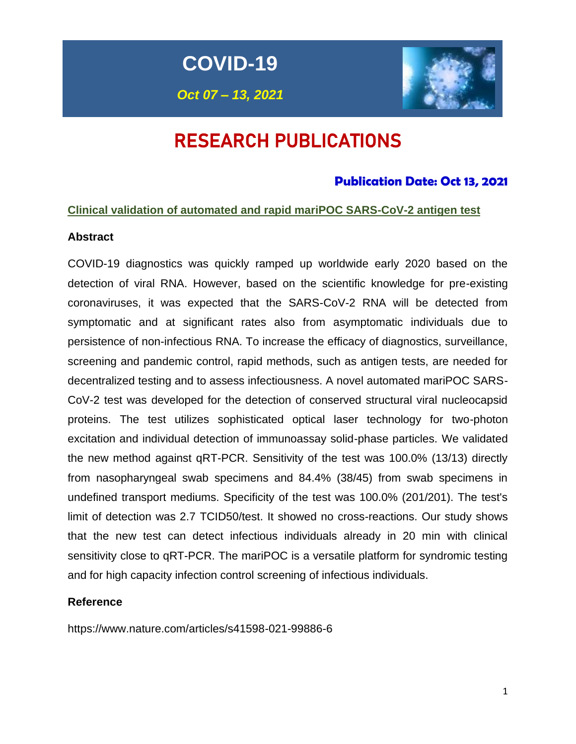**COVID-19**

*Oct 07 – 13, 2021*



# RESEARCH PUBLICATIONS

# **Publication Date: Oct 13, 2021**

# **Clinical validation of automated and rapid mariPOC SARS-CoV-2 antigen test**

### **Abstract**

COVID-19 diagnostics was quickly ramped up worldwide early 2020 based on the detection of viral RNA. However, based on the scientific knowledge for pre-existing coronaviruses, it was expected that the SARS-CoV-2 RNA will be detected from symptomatic and at significant rates also from asymptomatic individuals due to persistence of non-infectious RNA. To increase the efficacy of diagnostics, surveillance, screening and pandemic control, rapid methods, such as antigen tests, are needed for decentralized testing and to assess infectiousness. A novel automated mariPOC SARS-CoV-2 test was developed for the detection of conserved structural viral nucleocapsid proteins. The test utilizes sophisticated optical laser technology for two-photon excitation and individual detection of immunoassay solid-phase particles. We validated the new method against qRT-PCR. Sensitivity of the test was 100.0% (13/13) directly from nasopharyngeal swab specimens and 84.4% (38/45) from swab specimens in undefined transport mediums. Specificity of the test was 100.0% (201/201). The test's limit of detection was 2.7 TCID50/test. It showed no cross-reactions. Our study shows that the new test can detect infectious individuals already in 20 min with clinical sensitivity close to qRT-PCR. The mariPOC is a versatile platform for syndromic testing and for high capacity infection control screening of infectious individuals.

### **Reference**

https://www.nature.com/articles/s41598-021-99886-6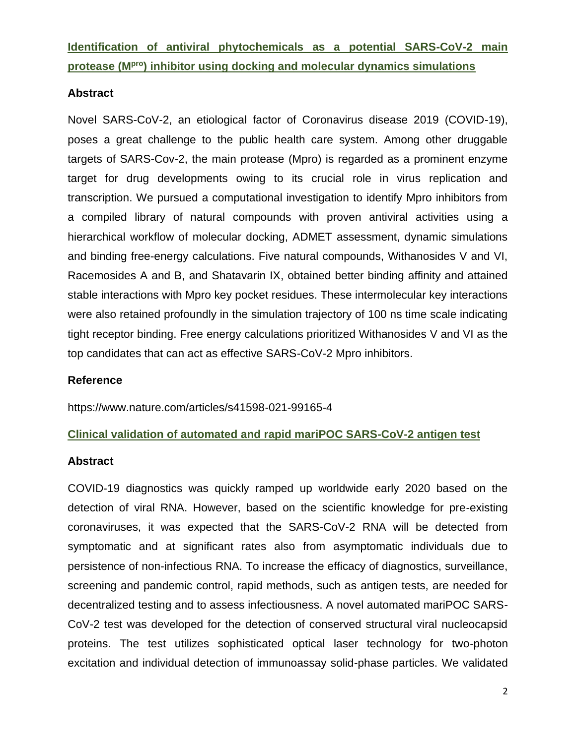**Identification of antiviral phytochemicals as a potential SARS-CoV-2 main protease (Mpro) inhibitor using docking and molecular dynamics simulations** 

### **Abstract**

Novel SARS-CoV-2, an etiological factor of Coronavirus disease 2019 (COVID-19), poses a great challenge to the public health care system. Among other druggable targets of SARS-Cov-2, the main protease (Mpro) is regarded as a prominent enzyme target for drug developments owing to its crucial role in virus replication and transcription. We pursued a computational investigation to identify Mpro inhibitors from a compiled library of natural compounds with proven antiviral activities using a hierarchical workflow of molecular docking, ADMET assessment, dynamic simulations and binding free-energy calculations. Five natural compounds, Withanosides V and VI, Racemosides A and B, and Shatavarin IX, obtained better binding affinity and attained stable interactions with Mpro key pocket residues. These intermolecular key interactions were also retained profoundly in the simulation trajectory of 100 ns time scale indicating tight receptor binding. Free energy calculations prioritized Withanosides V and VI as the top candidates that can act as effective SARS-CoV-2 Mpro inhibitors.

### **Reference**

https://www.nature.com/articles/s41598-021-99165-4

### **Clinical validation of automated and rapid mariPOC SARS-CoV-2 antigen test**

### **Abstract**

COVID-19 diagnostics was quickly ramped up worldwide early 2020 based on the detection of viral RNA. However, based on the scientific knowledge for pre-existing coronaviruses, it was expected that the SARS-CoV-2 RNA will be detected from symptomatic and at significant rates also from asymptomatic individuals due to persistence of non-infectious RNA. To increase the efficacy of diagnostics, surveillance, screening and pandemic control, rapid methods, such as antigen tests, are needed for decentralized testing and to assess infectiousness. A novel automated mariPOC SARS-CoV-2 test was developed for the detection of conserved structural viral nucleocapsid proteins. The test utilizes sophisticated optical laser technology for two-photon excitation and individual detection of immunoassay solid-phase particles. We validated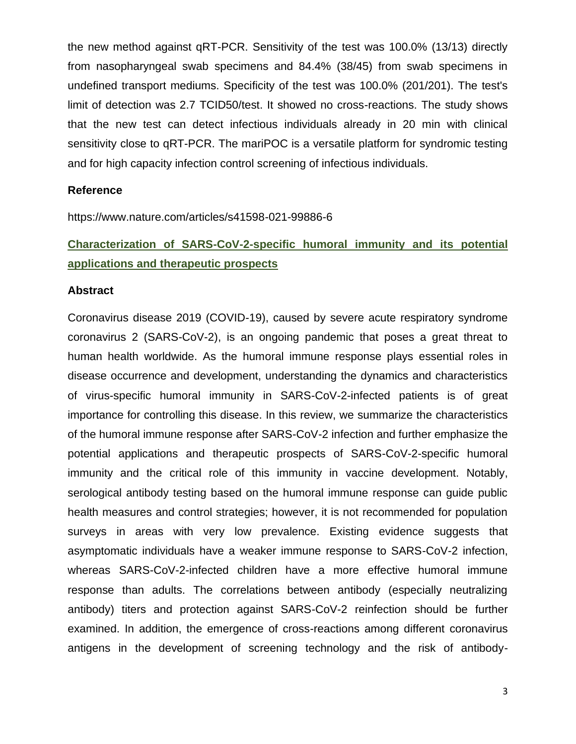the new method against qRT-PCR. Sensitivity of the test was 100.0% (13/13) directly from nasopharyngeal swab specimens and 84.4% (38/45) from swab specimens in undefined transport mediums. Specificity of the test was 100.0% (201/201). The test's limit of detection was 2.7 TCID50/test. It showed no cross-reactions. The study shows that the new test can detect infectious individuals already in 20 min with clinical sensitivity close to qRT-PCR. The mariPOC is a versatile platform for syndromic testing and for high capacity infection control screening of infectious individuals.

### **Reference**

https://www.nature.com/articles/s41598-021-99886-6

# **Characterization of SARS-CoV-2-specific humoral immunity and its potential applications and therapeutic prospects**

#### **Abstract**

Coronavirus disease 2019 (COVID-19), caused by severe acute respiratory syndrome coronavirus 2 (SARS-CoV-2), is an ongoing pandemic that poses a great threat to human health worldwide. As the humoral immune response plays essential roles in disease occurrence and development, understanding the dynamics and characteristics of virus-specific humoral immunity in SARS-CoV-2-infected patients is of great importance for controlling this disease. In this review, we summarize the characteristics of the humoral immune response after SARS-CoV-2 infection and further emphasize the potential applications and therapeutic prospects of SARS-CoV-2-specific humoral immunity and the critical role of this immunity in vaccine development. Notably, serological antibody testing based on the humoral immune response can guide public health measures and control strategies; however, it is not recommended for population surveys in areas with very low prevalence. Existing evidence suggests that asymptomatic individuals have a weaker immune response to SARS-CoV-2 infection, whereas SARS-CoV-2-infected children have a more effective humoral immune response than adults. The correlations between antibody (especially neutralizing antibody) titers and protection against SARS-CoV-2 reinfection should be further examined. In addition, the emergence of cross-reactions among different coronavirus antigens in the development of screening technology and the risk of antibody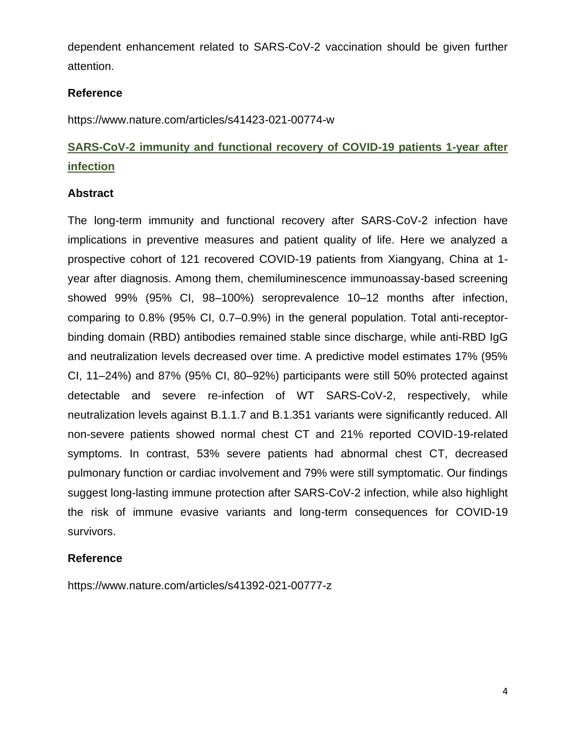dependent enhancement related to SARS-CoV-2 vaccination should be given further attention.

# **Reference**

https://www.nature.com/articles/s41423-021-00774-w

# **SARS-CoV-2 immunity and functional recovery of COVID-19 patients 1-year after infection**

# **Abstract**

The long-term immunity and functional recovery after SARS-CoV-2 infection have implications in preventive measures and patient quality of life. Here we analyzed a prospective cohort of 121 recovered COVID-19 patients from Xiangyang, China at 1 year after diagnosis. Among them, chemiluminescence immunoassay-based screening showed 99% (95% CI, 98–100%) seroprevalence 10–12 months after infection, comparing to 0.8% (95% CI, 0.7–0.9%) in the general population. Total anti-receptorbinding domain (RBD) antibodies remained stable since discharge, while anti-RBD IgG and neutralization levels decreased over time. A predictive model estimates 17% (95% CI, 11–24%) and 87% (95% CI, 80–92%) participants were still 50% protected against detectable and severe re-infection of WT SARS-CoV-2, respectively, while neutralization levels against B.1.1.7 and B.1.351 variants were significantly reduced. All non-severe patients showed normal chest CT and 21% reported COVID-19-related symptoms. In contrast, 53% severe patients had abnormal chest CT, decreased pulmonary function or cardiac involvement and 79% were still symptomatic. Our findings suggest long-lasting immune protection after SARS-CoV-2 infection, while also highlight the risk of immune evasive variants and long-term consequences for COVID-19 survivors.

### **Reference**

https://www.nature.com/articles/s41392-021-00777-z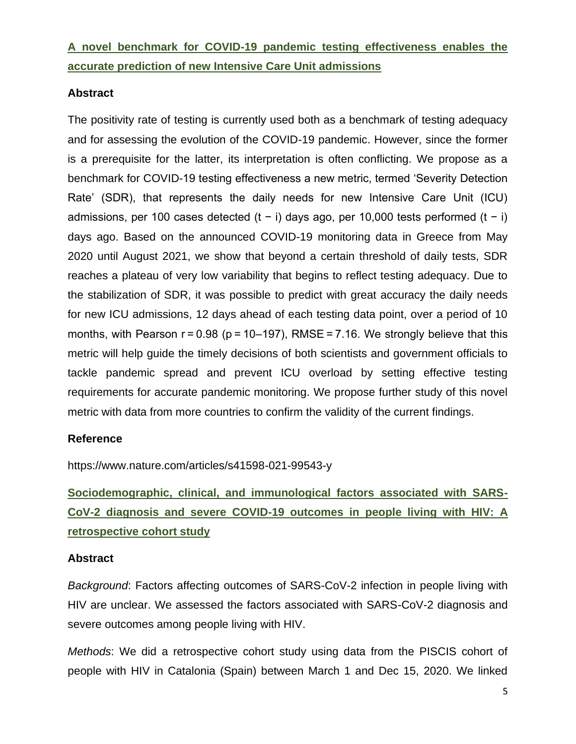# **A novel benchmark for COVID-19 pandemic testing effectiveness enables the accurate prediction of new Intensive Care Unit admissions**

# **Abstract**

The positivity rate of testing is currently used both as a benchmark of testing adequacy and for assessing the evolution of the COVID-19 pandemic. However, since the former is a prerequisite for the latter, its interpretation is often conflicting. We propose as a benchmark for COVID-19 testing effectiveness a new metric, termed 'Severity Detection Rate' (SDR), that represents the daily needs for new Intensive Care Unit (ICU) admissions, per 100 cases detected (t − i) days ago, per 10,000 tests performed (t − i) days ago. Based on the announced COVID-19 monitoring data in Greece from May 2020 until August 2021, we show that beyond a certain threshold of daily tests, SDR reaches a plateau of very low variability that begins to reflect testing adequacy. Due to the stabilization of SDR, it was possible to predict with great accuracy the daily needs for new ICU admissions, 12 days ahead of each testing data point, over a period of 10 months, with Pearson  $r = 0.98$  ( $p = 10-197$ ), RMSE = 7.16. We strongly believe that this metric will help guide the timely decisions of both scientists and government officials to tackle pandemic spread and prevent ICU overload by setting effective testing requirements for accurate pandemic monitoring. We propose further study of this novel metric with data from more countries to confirm the validity of the current findings.

### **Reference**

https://www.nature.com/articles/s41598-021-99543-y

**Sociodemographic, clinical, and immunological factors associated with SARS-CoV-2 diagnosis and severe COVID-19 outcomes in people living with HIV: A retrospective cohort study**

### **Abstract**

*Background*: Factors affecting outcomes of SARS-CoV-2 infection in people living with HIV are unclear. We assessed the factors associated with SARS-CoV-2 diagnosis and severe outcomes among people living with HIV.

*Methods*: We did a retrospective cohort study using data from the PISCIS cohort of people with HIV in Catalonia (Spain) between March 1 and Dec 15, 2020. We linked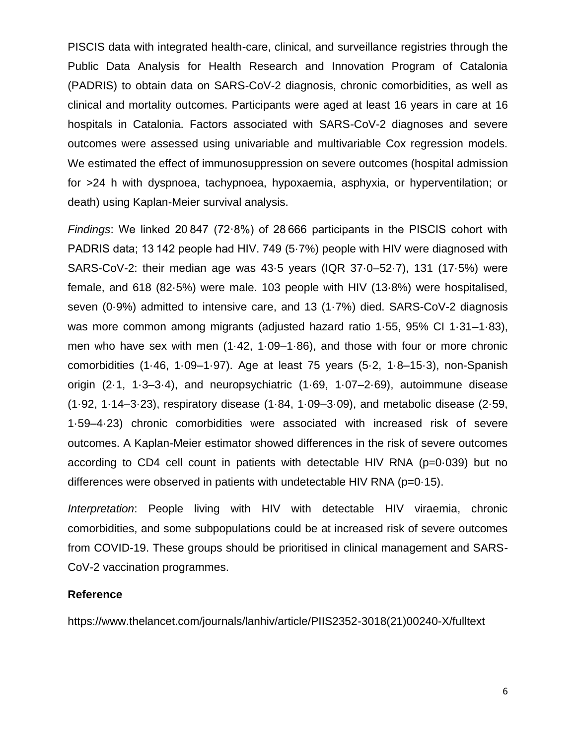PISCIS data with integrated health-care, clinical, and surveillance registries through the Public Data Analysis for Health Research and Innovation Program of Catalonia (PADRIS) to obtain data on SARS-CoV-2 diagnosis, chronic comorbidities, as well as clinical and mortality outcomes. Participants were aged at least 16 years in care at 16 hospitals in Catalonia. Factors associated with SARS-CoV-2 diagnoses and severe outcomes were assessed using univariable and multivariable Cox regression models. We estimated the effect of immunosuppression on severe outcomes (hospital admission for >24 h with dyspnoea, tachypnoea, hypoxaemia, asphyxia, or hyperventilation; or death) using Kaplan-Meier survival analysis.

*Findings*: We linked 20 847 (72·8%) of 28 666 participants in the PISCIS cohort with PADRIS data; 13 142 people had HIV. 749 (5·7%) people with HIV were diagnosed with SARS-CoV-2: their median age was 43·5 years (IQR 37·0–52·7), 131 (17·5%) were female, and 618 (82·5%) were male. 103 people with HIV (13·8%) were hospitalised, seven (0·9%) admitted to intensive care, and 13 (1·7%) died. SARS-CoV-2 diagnosis was more common among migrants (adjusted hazard ratio 1·55, 95% CI 1·31–1·83), men who have sex with men (1·42, 1·09–1·86), and those with four or more chronic comorbidities (1·46, 1·09–1·97). Age at least 75 years (5·2, 1·8–15·3), non-Spanish origin (2·1, 1·3–3·4), and neuropsychiatric (1·69, 1·07–2·69), autoimmune disease (1·92, 1·14–3·23), respiratory disease (1·84, 1·09–3·09), and metabolic disease (2·59, 1·59–4·23) chronic comorbidities were associated with increased risk of severe outcomes. A Kaplan-Meier estimator showed differences in the risk of severe outcomes according to CD4 cell count in patients with detectable HIV RNA (p=0·039) but no differences were observed in patients with undetectable HIV RNA (p=0.15).

*Interpretation*: People living with HIV with detectable HIV viraemia, chronic comorbidities, and some subpopulations could be at increased risk of severe outcomes from COVID-19. These groups should be prioritised in clinical management and SARS-CoV-2 vaccination programmes.

#### **Reference**

https://www.thelancet.com/journals/lanhiv/article/PIIS2352-3018(21)00240-X/fulltext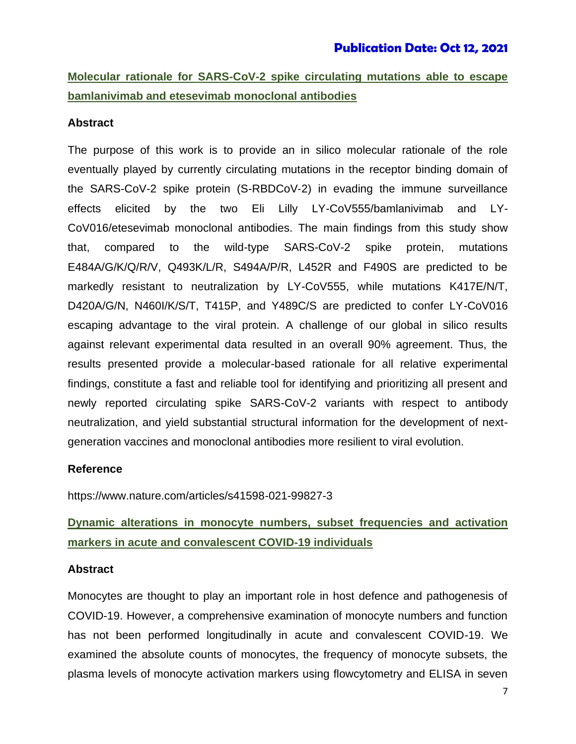**Molecular rationale for SARS-CoV-2 spike circulating mutations able to escape bamlanivimab and etesevimab monoclonal antibodies** 

#### **Abstract**

The purpose of this work is to provide an in silico molecular rationale of the role eventually played by currently circulating mutations in the receptor binding domain of the SARS-CoV-2 spike protein (S-RBDCoV‑2) in evading the immune surveillance effects elicited by the two Eli Lilly LY-CoV555/bamlanivimab and LY-CoV016/etesevimab monoclonal antibodies. The main findings from this study show that, compared to the wild-type SARS-CoV-2 spike protein, mutations E484A/G/K/Q/R/V, Q493K/L/R, S494A/P/R, L452R and F490S are predicted to be markedly resistant to neutralization by LY-CoV555, while mutations K417E/N/T, D420A/G/N, N460I/K/S/T, T415P, and Y489C/S are predicted to confer LY-CoV016 escaping advantage to the viral protein. A challenge of our global in silico results against relevant experimental data resulted in an overall 90% agreement. Thus, the results presented provide a molecular-based rationale for all relative experimental findings, constitute a fast and reliable tool for identifying and prioritizing all present and newly reported circulating spike SARS-CoV-2 variants with respect to antibody neutralization, and yield substantial structural information for the development of nextgeneration vaccines and monoclonal antibodies more resilient to viral evolution.

#### **Reference**

https://www.nature.com/articles/s41598-021-99827-3

# **Dynamic alterations in monocyte numbers, subset frequencies and activation markers in acute and convalescent COVID-19 individuals**

#### **Abstract**

Monocytes are thought to play an important role in host defence and pathogenesis of COVID-19. However, a comprehensive examination of monocyte numbers and function has not been performed longitudinally in acute and convalescent COVID-19. We examined the absolute counts of monocytes, the frequency of monocyte subsets, the plasma levels of monocyte activation markers using flowcytometry and ELISA in seven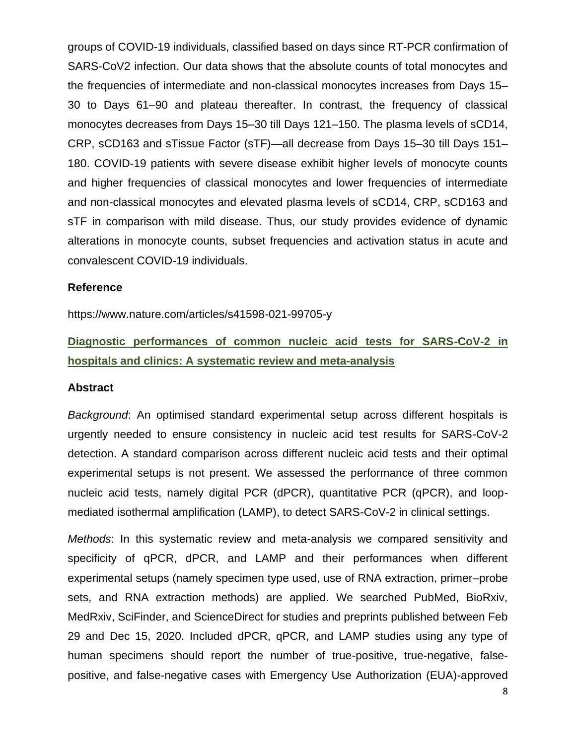groups of COVID-19 individuals, classified based on days since RT-PCR confirmation of SARS-CoV2 infection. Our data shows that the absolute counts of total monocytes and the frequencies of intermediate and non-classical monocytes increases from Days 15– 30 to Days 61–90 and plateau thereafter. In contrast, the frequency of classical monocytes decreases from Days 15–30 till Days 121–150. The plasma levels of sCD14, CRP, sCD163 and sTissue Factor (sTF)—all decrease from Days 15–30 till Days 151– 180. COVID-19 patients with severe disease exhibit higher levels of monocyte counts and higher frequencies of classical monocytes and lower frequencies of intermediate and non-classical monocytes and elevated plasma levels of sCD14, CRP, sCD163 and sTF in comparison with mild disease. Thus, our study provides evidence of dynamic alterations in monocyte counts, subset frequencies and activation status in acute and convalescent COVID-19 individuals.

#### **Reference**

https://www.nature.com/articles/s41598-021-99705-y

# **Diagnostic performances of common nucleic acid tests for SARS-CoV-2 in hospitals and clinics: A systematic review and meta-analysis**

#### **Abstract**

*Background*: An optimised standard experimental setup across different hospitals is urgently needed to ensure consistency in nucleic acid test results for SARS-CoV-2 detection. A standard comparison across different nucleic acid tests and their optimal experimental setups is not present. We assessed the performance of three common nucleic acid tests, namely digital PCR (dPCR), quantitative PCR (qPCR), and loopmediated isothermal amplification (LAMP), to detect SARS-CoV-2 in clinical settings.

*Methods*: In this systematic review and meta-analysis we compared sensitivity and specificity of qPCR, dPCR, and LAMP and their performances when different experimental setups (namely specimen type used, use of RNA extraction, primer–probe sets, and RNA extraction methods) are applied. We searched PubMed, BioRxiv, MedRxiv, SciFinder, and ScienceDirect for studies and preprints published between Feb 29 and Dec 15, 2020. Included dPCR, qPCR, and LAMP studies using any type of human specimens should report the number of true-positive, true-negative, falsepositive, and false-negative cases with Emergency Use Authorization (EUA)-approved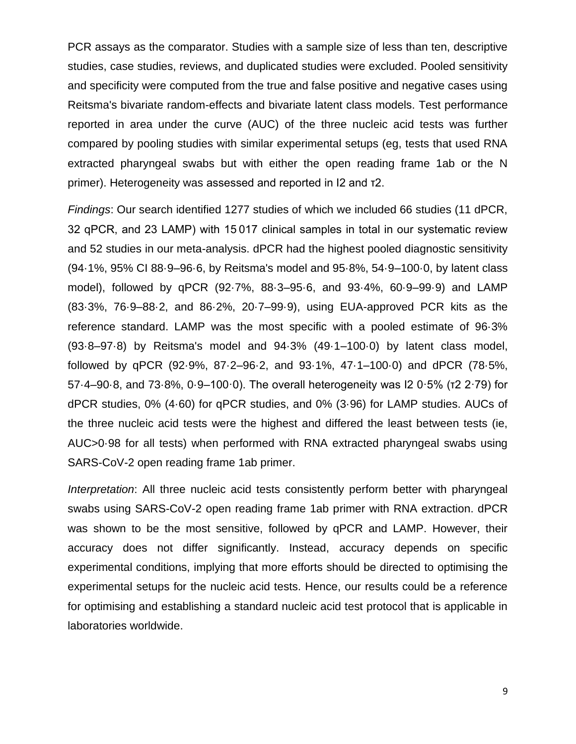PCR assays as the comparator. Studies with a sample size of less than ten, descriptive studies, case studies, reviews, and duplicated studies were excluded. Pooled sensitivity and specificity were computed from the true and false positive and negative cases using Reitsma's bivariate random-effects and bivariate latent class models. Test performance reported in area under the curve (AUC) of the three nucleic acid tests was further compared by pooling studies with similar experimental setups (eg, tests that used RNA extracted pharyngeal swabs but with either the open reading frame 1ab or the N primer). Heterogeneity was assessed and reported in I2 and τ2.

*Findings*: Our search identified 1277 studies of which we included 66 studies (11 dPCR, 32 qPCR, and 23 LAMP) with 15 017 clinical samples in total in our systematic review and 52 studies in our meta-analysis. dPCR had the highest pooled diagnostic sensitivity (94·1%, 95% CI 88·9–96·6, by Reitsma's model and 95·8%, 54·9–100·0, by latent class model), followed by qPCR (92·7%, 88·3–95·6, and 93·4%, 60·9–99·9) and LAMP (83·3%, 76·9–88·2, and 86·2%, 20·7–99·9), using EUA-approved PCR kits as the reference standard. LAMP was the most specific with a pooled estimate of 96·3% (93·8–97·8) by Reitsma's model and 94·3% (49·1–100·0) by latent class model, followed by qPCR (92·9%, 87·2–96·2, and 93·1%, 47·1–100·0) and dPCR (78·5%, 57·4–90·8, and 73·8%, 0·9–100·0). The overall heterogeneity was I2 0·5% (τ2 2·79) for dPCR studies, 0% (4·60) for qPCR studies, and 0% (3·96) for LAMP studies. AUCs of the three nucleic acid tests were the highest and differed the least between tests (ie, AUC>0·98 for all tests) when performed with RNA extracted pharyngeal swabs using SARS-CoV-2 open reading frame 1ab primer.

*Interpretation*: All three nucleic acid tests consistently perform better with pharyngeal swabs using SARS-CoV-2 open reading frame 1ab primer with RNA extraction. dPCR was shown to be the most sensitive, followed by qPCR and LAMP. However, their accuracy does not differ significantly. Instead, accuracy depends on specific experimental conditions, implying that more efforts should be directed to optimising the experimental setups for the nucleic acid tests. Hence, our results could be a reference for optimising and establishing a standard nucleic acid test protocol that is applicable in laboratories worldwide.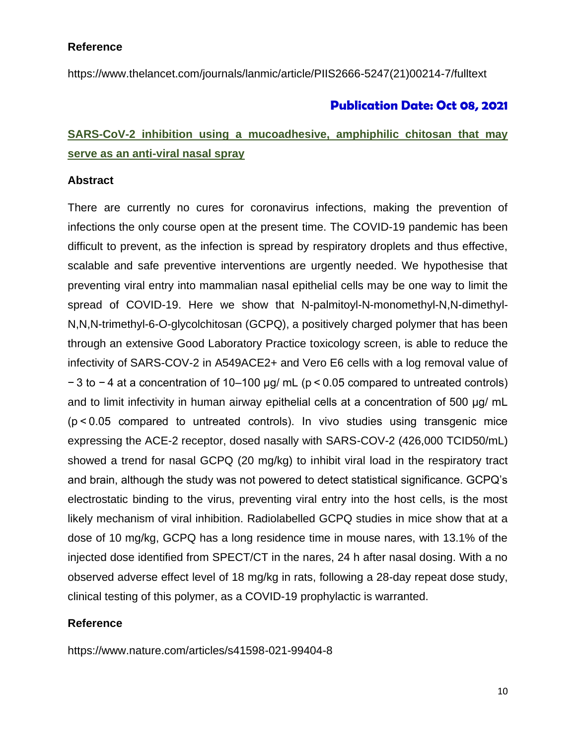### **Reference**

https://www.thelancet.com/journals/lanmic/article/PIIS2666-5247(21)00214-7/fulltext

# **Publication Date: Oct 08, 2021**

# **SARS-CoV-2 inhibition using a mucoadhesive, amphiphilic chitosan that may serve as an anti-viral nasal spray**

### **Abstract**

There are currently no cures for coronavirus infections, making the prevention of infections the only course open at the present time. The COVID-19 pandemic has been difficult to prevent, as the infection is spread by respiratory droplets and thus effective, scalable and safe preventive interventions are urgently needed. We hypothesise that preventing viral entry into mammalian nasal epithelial cells may be one way to limit the spread of COVID-19. Here we show that N-palmitoyl-N-monomethyl-N,N-dimethyl-N,N,N-trimethyl-6-O-glycolchitosan (GCPQ), a positively charged polymer that has been through an extensive Good Laboratory Practice toxicology screen, is able to reduce the infectivity of SARS-COV-2 in A549ACE2+ and Vero E6 cells with a log removal value of − 3 to − 4 at a concentration of 10–100 μg/ mL (p < 0.05 compared to untreated controls) and to limit infectivity in human airway epithelial cells at a concentration of 500 μg/ mL (p < 0.05 compared to untreated controls). In vivo studies using transgenic mice expressing the ACE-2 receptor, dosed nasally with SARS-COV-2 (426,000 TCID50/mL) showed a trend for nasal GCPQ (20 mg/kg) to inhibit viral load in the respiratory tract and brain, although the study was not powered to detect statistical significance. GCPQ's electrostatic binding to the virus, preventing viral entry into the host cells, is the most likely mechanism of viral inhibition. Radiolabelled GCPQ studies in mice show that at a dose of 10 mg/kg, GCPQ has a long residence time in mouse nares, with 13.1% of the injected dose identified from SPECT/CT in the nares, 24 h after nasal dosing. With a no observed adverse effect level of 18 mg/kg in rats, following a 28-day repeat dose study, clinical testing of this polymer, as a COVID-19 prophylactic is warranted.

### **Reference**

https://www.nature.com/articles/s41598-021-99404-8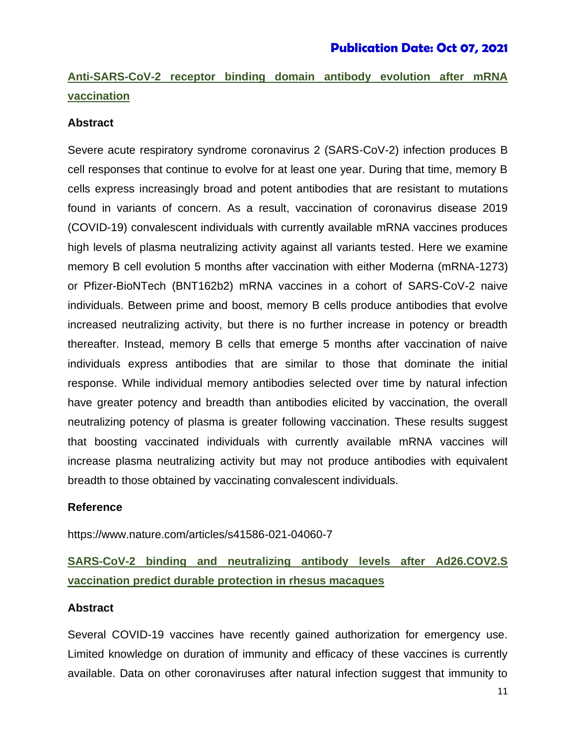# **Publication Date: Oct 07, 2021**

# **Anti-SARS-CoV-2 receptor binding domain antibody evolution after mRNA vaccination**

### **Abstract**

Severe acute respiratory syndrome coronavirus 2 (SARS-CoV-2) infection produces B cell responses that continue to evolve for at least one year. During that time, memory B cells express increasingly broad and potent antibodies that are resistant to mutations found in variants of concern. As a result, vaccination of coronavirus disease 2019 (COVID-19) convalescent individuals with currently available mRNA vaccines produces high levels of plasma neutralizing activity against all variants tested. Here we examine memory B cell evolution 5 months after vaccination with either Moderna (mRNA-1273) or Pfizer-BioNTech (BNT162b2) mRNA vaccines in a cohort of SARS-CoV-2 naive individuals. Between prime and boost, memory B cells produce antibodies that evolve increased neutralizing activity, but there is no further increase in potency or breadth thereafter. Instead, memory B cells that emerge 5 months after vaccination of naive individuals express antibodies that are similar to those that dominate the initial response. While individual memory antibodies selected over time by natural infection have greater potency and breadth than antibodies elicited by vaccination, the overall neutralizing potency of plasma is greater following vaccination. These results suggest that boosting vaccinated individuals with currently available mRNA vaccines will increase plasma neutralizing activity but may not produce antibodies with equivalent breadth to those obtained by vaccinating convalescent individuals.

### **Reference**

https://www.nature.com/articles/s41586-021-04060-7

# **SARS-CoV-2 binding and neutralizing antibody levels after Ad26.COV2.S vaccination predict durable protection in rhesus macaques**

### **Abstract**

Several COVID-19 vaccines have recently gained authorization for emergency use. Limited knowledge on duration of immunity and efficacy of these vaccines is currently available. Data on other coronaviruses after natural infection suggest that immunity to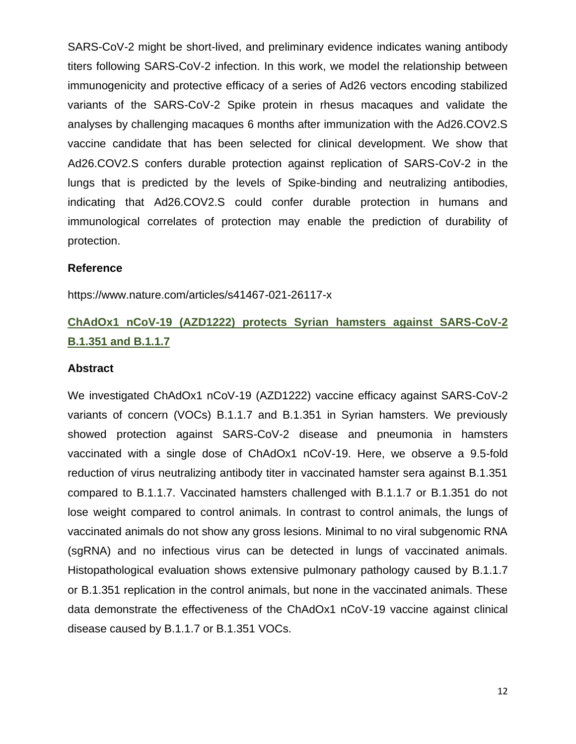SARS-CoV-2 might be short-lived, and preliminary evidence indicates waning antibody titers following SARS-CoV-2 infection. In this work, we model the relationship between immunogenicity and protective efficacy of a series of Ad26 vectors encoding stabilized variants of the SARS-CoV-2 Spike protein in rhesus macaques and validate the analyses by challenging macaques 6 months after immunization with the Ad26.COV2.S vaccine candidate that has been selected for clinical development. We show that Ad26.COV2.S confers durable protection against replication of SARS-CoV-2 in the lungs that is predicted by the levels of Spike-binding and neutralizing antibodies, indicating that Ad26.COV2.S could confer durable protection in humans and immunological correlates of protection may enable the prediction of durability of protection.

### **Reference**

https://www.nature.com/articles/s41467-021-26117-x

# **ChAdOx1 nCoV-19 (AZD1222) protects Syrian hamsters against SARS-CoV-2 B.1.351 and B.1.1.7**

#### **Abstract**

We investigated ChAdOx1 nCoV-19 (AZD1222) vaccine efficacy against SARS-CoV-2 variants of concern (VOCs) B.1.1.7 and B.1.351 in Syrian hamsters. We previously showed protection against SARS-CoV-2 disease and pneumonia in hamsters vaccinated with a single dose of ChAdOx1 nCoV-19. Here, we observe a 9.5-fold reduction of virus neutralizing antibody titer in vaccinated hamster sera against B.1.351 compared to B.1.1.7. Vaccinated hamsters challenged with B.1.1.7 or B.1.351 do not lose weight compared to control animals. In contrast to control animals, the lungs of vaccinated animals do not show any gross lesions. Minimal to no viral subgenomic RNA (sgRNA) and no infectious virus can be detected in lungs of vaccinated animals. Histopathological evaluation shows extensive pulmonary pathology caused by B.1.1.7 or B.1.351 replication in the control animals, but none in the vaccinated animals. These data demonstrate the effectiveness of the ChAdOx1 nCoV-19 vaccine against clinical disease caused by B.1.1.7 or B.1.351 VOCs.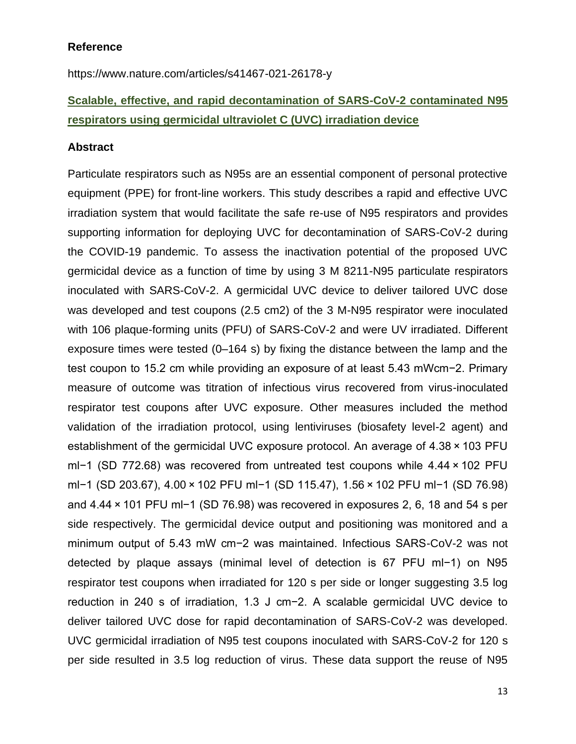### **Reference**

https://www.nature.com/articles/s41467-021-26178-y

# **Scalable, effective, and rapid decontamination of SARS-CoV-2 contaminated N95 respirators using germicidal ultraviolet C (UVC) irradiation device**

### **Abstract**

Particulate respirators such as N95s are an essential component of personal protective equipment (PPE) for front-line workers. This study describes a rapid and effective UVC irradiation system that would facilitate the safe re-use of N95 respirators and provides supporting information for deploying UVC for decontamination of SARS-CoV-2 during the COVID-19 pandemic. To assess the inactivation potential of the proposed UVC germicidal device as a function of time by using 3 M 8211-N95 particulate respirators inoculated with SARS-CoV-2. A germicidal UVC device to deliver tailored UVC dose was developed and test coupons (2.5 cm2) of the 3 M-N95 respirator were inoculated with 106 plaque-forming units (PFU) of SARS-CoV-2 and were UV irradiated. Different exposure times were tested (0–164 s) by fixing the distance between the lamp and the test coupon to 15.2 cm while providing an exposure of at least 5.43 mWcm−2. Primary measure of outcome was titration of infectious virus recovered from virus-inoculated respirator test coupons after UVC exposure. Other measures included the method validation of the irradiation protocol, using lentiviruses (biosafety level-2 agent) and establishment of the germicidal UVC exposure protocol. An average of 4.38 × 103 PFU ml−1 (SD 772.68) was recovered from untreated test coupons while 4.44 × 102 PFU ml−1 (SD 203.67), 4.00 × 102 PFU ml−1 (SD 115.47), 1.56 × 102 PFU ml−1 (SD 76.98) and 4.44 × 101 PFU ml−1 (SD 76.98) was recovered in exposures 2, 6, 18 and 54 s per side respectively. The germicidal device output and positioning was monitored and a minimum output of 5.43 mW cm−2 was maintained. Infectious SARS-CoV-2 was not detected by plaque assays (minimal level of detection is 67 PFU ml−1) on N95 respirator test coupons when irradiated for 120 s per side or longer suggesting 3.5 log reduction in 240 s of irradiation, 1.3 J cm−2. A scalable germicidal UVC device to deliver tailored UVC dose for rapid decontamination of SARS-CoV-2 was developed. UVC germicidal irradiation of N95 test coupons inoculated with SARS-CoV-2 for 120 s per side resulted in 3.5 log reduction of virus. These data support the reuse of N95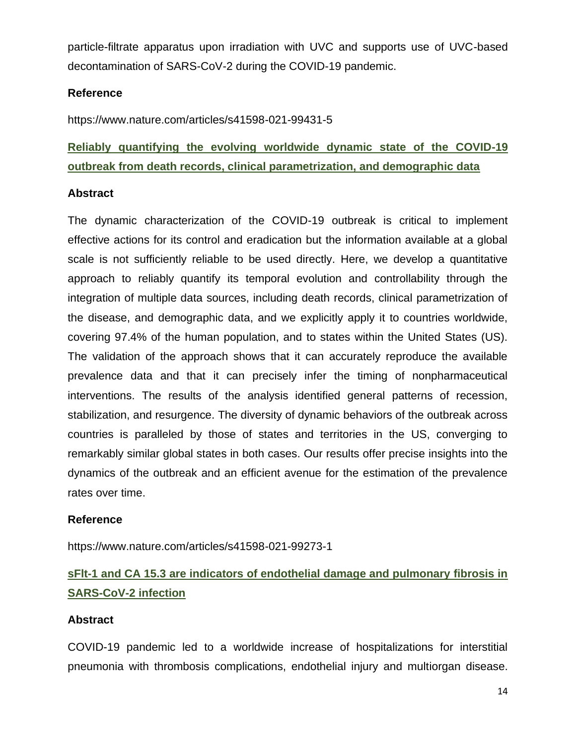particle-filtrate apparatus upon irradiation with UVC and supports use of UVC-based decontamination of SARS-CoV-2 during the COVID-19 pandemic.

# **Reference**

https://www.nature.com/articles/s41598-021-99431-5

# **Reliably quantifying the evolving worldwide dynamic state of the COVID-19 outbreak from death records, clinical parametrization, and demographic data**

### **Abstract**

The dynamic characterization of the COVID-19 outbreak is critical to implement effective actions for its control and eradication but the information available at a global scale is not sufficiently reliable to be used directly. Here, we develop a quantitative approach to reliably quantify its temporal evolution and controllability through the integration of multiple data sources, including death records, clinical parametrization of the disease, and demographic data, and we explicitly apply it to countries worldwide, covering 97.4% of the human population, and to states within the United States (US). The validation of the approach shows that it can accurately reproduce the available prevalence data and that it can precisely infer the timing of nonpharmaceutical interventions. The results of the analysis identified general patterns of recession, stabilization, and resurgence. The diversity of dynamic behaviors of the outbreak across countries is paralleled by those of states and territories in the US, converging to remarkably similar global states in both cases. Our results offer precise insights into the dynamics of the outbreak and an efficient avenue for the estimation of the prevalence rates over time.

### **Reference**

https://www.nature.com/articles/s41598-021-99273-1

# **sFlt-1 and CA 15.3 are indicators of endothelial damage and pulmonary fibrosis in SARS-CoV-2 infection**

### **Abstract**

COVID-19 pandemic led to a worldwide increase of hospitalizations for interstitial pneumonia with thrombosis complications, endothelial injury and multiorgan disease.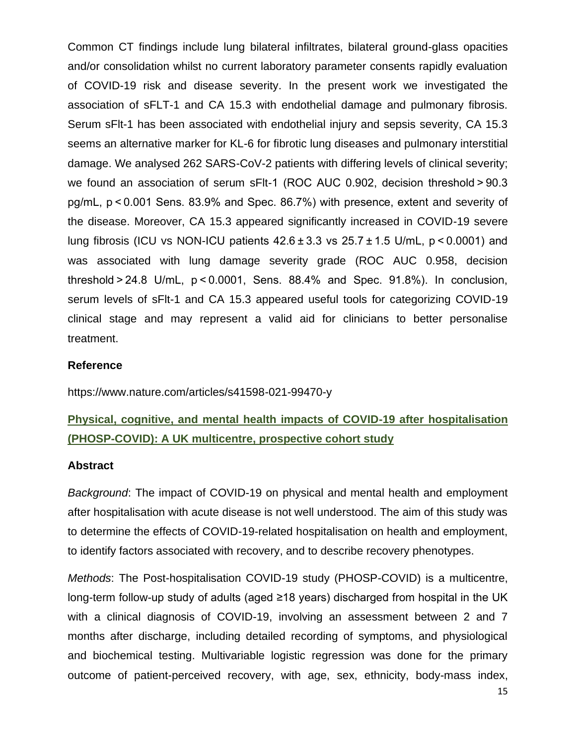Common CT findings include lung bilateral infiltrates, bilateral ground-glass opacities and/or consolidation whilst no current laboratory parameter consents rapidly evaluation of COVID-19 risk and disease severity. In the present work we investigated the association of sFLT-1 and CA 15.3 with endothelial damage and pulmonary fibrosis. Serum sFlt-1 has been associated with endothelial injury and sepsis severity, CA 15.3 seems an alternative marker for KL-6 for fibrotic lung diseases and pulmonary interstitial damage. We analysed 262 SARS-CoV-2 patients with differing levels of clinical severity; we found an association of serum sFIt-1 (ROC AUC 0.902, decision threshold > 90.3 pg/mL, p < 0.001 Sens. 83.9% and Spec. 86.7%) with presence, extent and severity of the disease. Moreover, CA 15.3 appeared significantly increased in COVID-19 severe lung fibrosis (ICU vs NON-ICU patients  $42.6 \pm 3.3$  vs  $25.7 \pm 1.5$  U/mL,  $p < 0.0001$ ) and was associated with lung damage severity grade (ROC AUC 0.958, decision threshold > 24.8 U/mL, p < 0.0001, Sens. 88.4% and Spec. 91.8%). In conclusion, serum levels of sFlt-1 and CA 15.3 appeared useful tools for categorizing COVID-19 clinical stage and may represent a valid aid for clinicians to better personalise treatment.

### **Reference**

https://www.nature.com/articles/s41598-021-99470-y

# **Physical, cognitive, and mental health impacts of COVID-19 after hospitalisation (PHOSP-COVID): A UK multicentre, prospective cohort study**

### **Abstract**

*Background*: The impact of COVID-19 on physical and mental health and employment after hospitalisation with acute disease is not well understood. The aim of this study was to determine the effects of COVID-19-related hospitalisation on health and employment, to identify factors associated with recovery, and to describe recovery phenotypes.

*Methods*: The Post-hospitalisation COVID-19 study (PHOSP-COVID) is a multicentre, long-term follow-up study of adults (aged ≥18 years) discharged from hospital in the UK with a clinical diagnosis of COVID-19, involving an assessment between 2 and 7 months after discharge, including detailed recording of symptoms, and physiological and biochemical testing. Multivariable logistic regression was done for the primary outcome of patient-perceived recovery, with age, sex, ethnicity, body-mass index,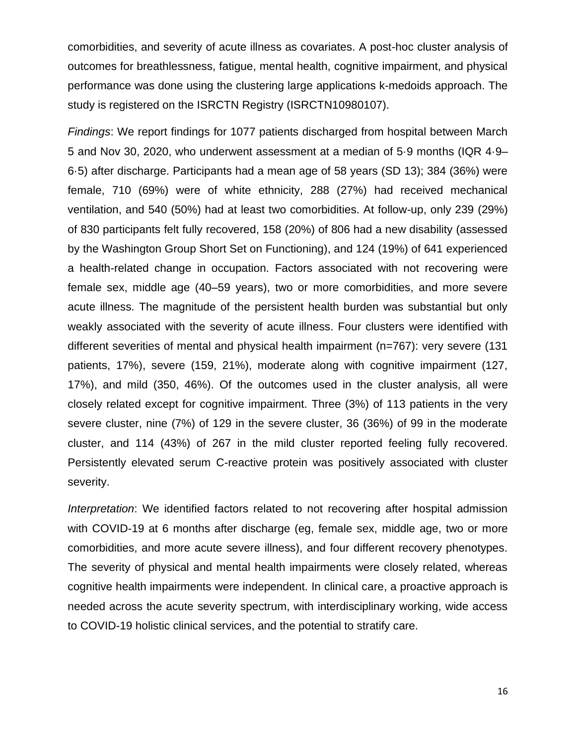comorbidities, and severity of acute illness as covariates. A post-hoc cluster analysis of outcomes for breathlessness, fatigue, mental health, cognitive impairment, and physical performance was done using the clustering large applications k-medoids approach. The study is registered on the ISRCTN Registry (ISRCTN10980107).

*Findings*: We report findings for 1077 patients discharged from hospital between March 5 and Nov 30, 2020, who underwent assessment at a median of 5·9 months (IQR 4·9– 6·5) after discharge. Participants had a mean age of 58 years (SD 13); 384 (36%) were female, 710 (69%) were of white ethnicity, 288 (27%) had received mechanical ventilation, and 540 (50%) had at least two comorbidities. At follow-up, only 239 (29%) of 830 participants felt fully recovered, 158 (20%) of 806 had a new disability (assessed by the Washington Group Short Set on Functioning), and 124 (19%) of 641 experienced a health-related change in occupation. Factors associated with not recovering were female sex, middle age (40–59 years), two or more comorbidities, and more severe acute illness. The magnitude of the persistent health burden was substantial but only weakly associated with the severity of acute illness. Four clusters were identified with different severities of mental and physical health impairment (n=767): very severe (131 patients, 17%), severe (159, 21%), moderate along with cognitive impairment (127, 17%), and mild (350, 46%). Of the outcomes used in the cluster analysis, all were closely related except for cognitive impairment. Three (3%) of 113 patients in the very severe cluster, nine (7%) of 129 in the severe cluster, 36 (36%) of 99 in the moderate cluster, and 114 (43%) of 267 in the mild cluster reported feeling fully recovered. Persistently elevated serum C-reactive protein was positively associated with cluster severity.

*Interpretation*: We identified factors related to not recovering after hospital admission with COVID-19 at 6 months after discharge (eg, female sex, middle age, two or more comorbidities, and more acute severe illness), and four different recovery phenotypes. The severity of physical and mental health impairments were closely related, whereas cognitive health impairments were independent. In clinical care, a proactive approach is needed across the acute severity spectrum, with interdisciplinary working, wide access to COVID-19 holistic clinical services, and the potential to stratify care.

16